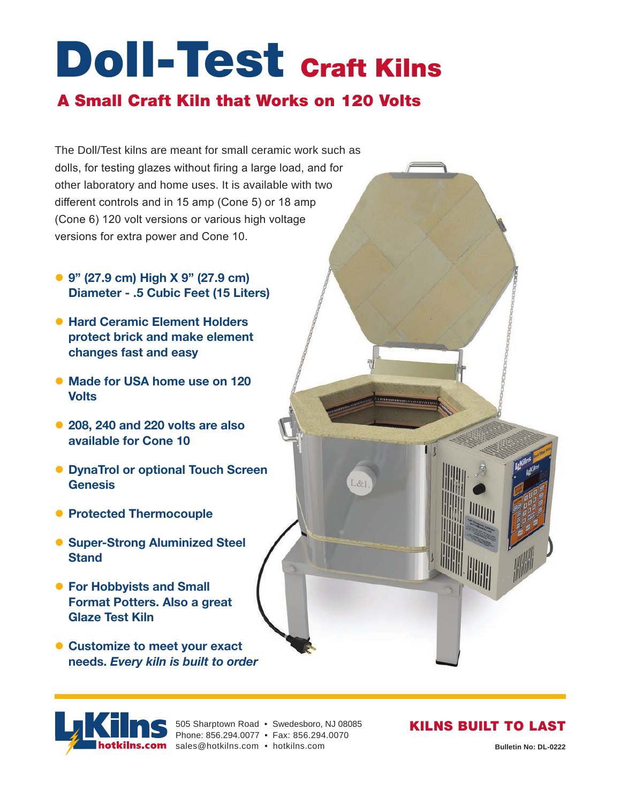# Doll-Test <sub>Craft</sub> Kilns

#### A Small Craft Kiln that Works on 120 Volts

The Doll/Test kilns are meant for small ceramic work such as dolls, for testing glazes without firing a large load, and for other laboratory and home uses. It is available with two different controls and in 15 amp (Cone 5) or 18 amp (Cone 6) 120 volt versions or various high voltage versions for extra power and Cone 10.

- z **9" (27.9 cm) High X 9" (27.9 cm) Diameter - .5 Cubic Feet (15 Liters)**
- **Hard Ceramic Element Holders protect brick and make element changes fast and easy**
- **Made for USA home use on 120 Volts**
- **208, 240 and 220 volts are also available for Cone 10**
- **DynaTrol or optional Touch Screen Genesis**
- **Protected Thermocouple**
- **Super-Strong Aluminized Steel Stand**
- **For Hobbyists and Small Format Potters. Also a great Glaze Test Kiln**
- **Customize to meet your exact needs.** *Every kiln is built to order*

505 Sharptown Road • Swedesboro, NJ 08085 Phone: 856.294.0077 • Fax: 856.294.0070

otkilns.com sales@hotkilns.com • hotkilns.com **Bulletin No: DL-0222** 

#### KILNS BUILT TO LAST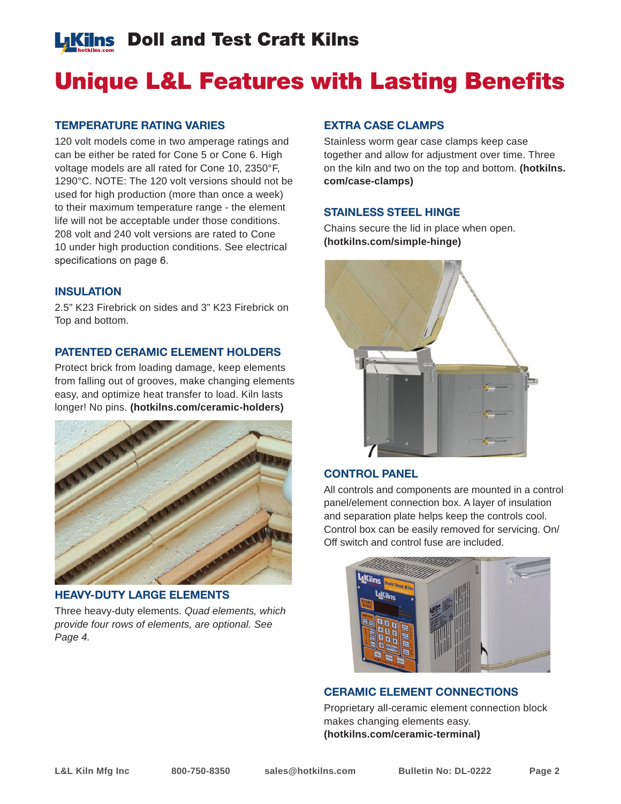### **LKilns** Doll and Test Craft Kilns

### Unique L&L Features with Lasting Benefits

#### **TEMPERATURE RATING VARIES**

120 volt models come in two amperage ratings and can be either be rated for Cone 5 or Cone 6. High voltage models are all rated for Cone 10, 2350°F, 1290°C. NOTE: The 120 volt versions should not be used for high production (more than once a week) to their maximum temperature range - the element life will not be acceptable under those conditions. 208 volt and 240 volt versions are rated to Cone 10 under high production conditions. See electrical specifications on page 6.

#### **INSULATION**

2.5" K23 Firebrick on sides and 3" K23 Firebrick on Top and bottom.

#### **PATENTED CERAMIC ELEMENT HOLDERS**

Protect brick from loading damage, keep elements from falling out of grooves, make changing elements easy, and optimize heat transfer to load. Kiln lasts longer! No pins. **(hotkilns.com/ceramic-holders)**



#### **HEAVY-DUTY LARGE ELEMENTS**

Three heavy-duty elements. *Quad elements, which provide four rows of elements, are optional. See Page 4.*

#### **EXTRA CASE CLAMPS**

Stainless worm gear case clamps keep case together and allow for adjustment over time. Three on the kiln and two on the top and bottom. **(hotkilns. com/case-clamps)**

#### **STAINLESS STEEL HINGE**

Chains secure the lid in place when open. **(hotkilns.com/simple-hinge)**



#### **CONTROL PANEL**

All controls and components are mounted in a control panel/element connection box. A layer of insulation and separation plate helps keep the controls cool. Control box can be easily removed for servicing. On/ Off switch and control fuse are included.



#### **CERAMIC ELEMENT CONNECTIONS**

Proprietary all-ceramic element connection block makes changing elements easy. **(hotkilns.com/ceramic-terminal)**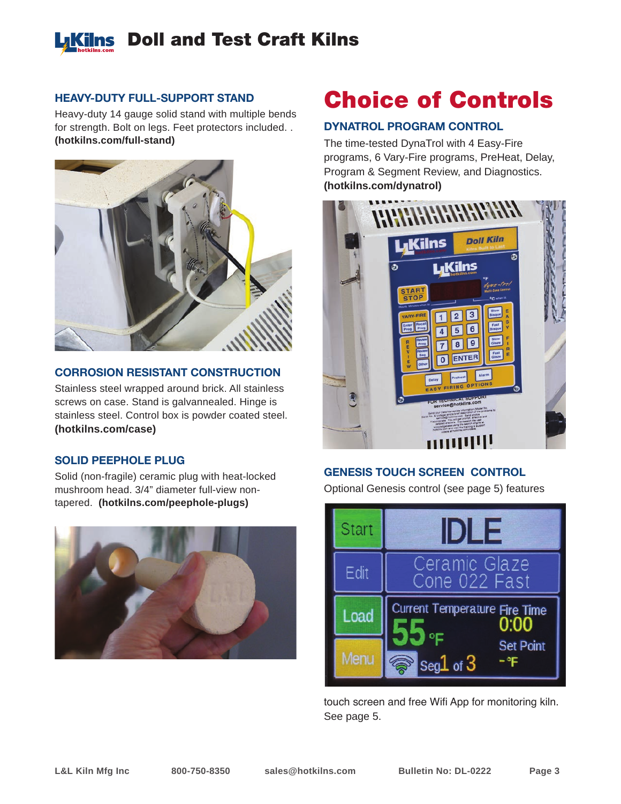

#### **HEAVY-DUTY FULL-SUPPORT STAND**

Heavy-duty 14 gauge solid stand with multiple bends for strength. Bolt on legs. Feet protectors included. . **(hotkilns.com/full-stand)**



#### **CORROSION RESISTANT CONSTRUCTION**

Stainless steel wrapped around brick. All stainless screws on case. Stand is galvannealed. Hinge is stainless steel. Control box is powder coated steel. **(hotkilns.com/case)**

#### **SOLID PEEPHOLE PLUG**

Solid (non-fragile) ceramic plug with heat-locked mushroom head. 3/4" diameter full-view nontapered. **(hotkilns.com/peephole-plugs)**



### Choice of Controls

#### **DYNATROL PROGRAM CONTROL**

The time-tested DynaTrol with 4 Easy-Fire programs, 6 Vary-Fire programs, PreHeat, Delay, Program & Segment Review, and Diagnostics. **(hotkilns.com/dynatrol)**



#### **GENESIS TOUCH SCREEN CONTROL**

Optional Genesis control (see page 5) features



touch screen and free Wifi App for monitoring kiln. See page 5.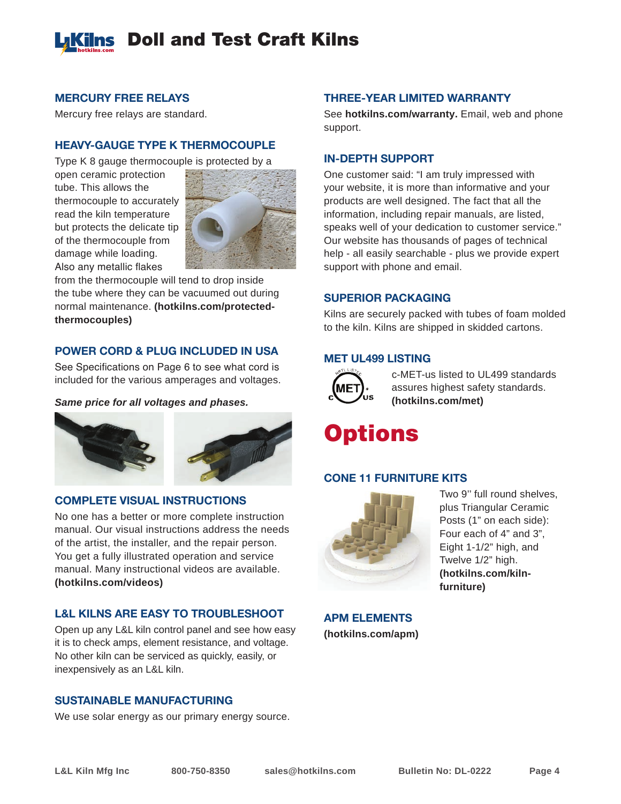

#### **MERCURY FREE RELAYS**

Mercury free relays are standard.

#### **HEAVY-GAUGE TYPE K THERMOCOUPLE**

Type K 8 gauge thermocouple is protected by a

open ceramic protection tube. This allows the thermocouple to accurately read the kiln temperature but protects the delicate tip of the thermocouple from damage while loading. Also any metallic flakes



from the thermocouple will tend to drop inside the tube where they can be vacuumed out during normal maintenance. **(hotkilns.com/protectedthermocouples)**

#### **POWER CORD & PLUG INCLUDED IN USA**

See Specifications on Page 6 to see what cord is included for the various amperages and voltages.

*Same price for all voltages and phases.*



#### **COMPLETE VISUAL INSTRUCTIONS**

No one has a better or more complete instruction manual. Our visual instructions address the needs of the artist, the installer, and the repair person. You get a fully illustrated operation and service manual. Many instructional videos are available. **(hotkilns.com/videos)**

#### **L&L KILNS ARE EASY TO TROUBLESHOOT**

Open up any L&L kiln control panel and see how easy it is to check amps, element resistance, and voltage. No other kiln can be serviced as quickly, easily, or inexpensively as an L&L kiln.

#### **SUSTAINABLE MANUFACTURING**

We use solar energy as our primary energy source.

#### **THREE-YEAR LIMITED WARRANTY**

See **hotkilns.com/warranty.** Email, web and phone support.

#### **IN-DEPTH SUPPORT**

One customer said: "I am truly impressed with your website, it is more than informative and your products are well designed. The fact that all the information, including repair manuals, are listed, speaks well of your dedication to customer service." Our website has thousands of pages of technical help - all easily searchable - plus we provide expert support with phone and email.

#### **SUPERIOR PACKAGING**

Kilns are securely packed with tubes of foam molded to the kiln. Kilns are shipped in skidded cartons.

#### **MET UL499 LISTING**



c-MET-us listed to UL499 standards assures highest safety standards. **(hotkilns.com/met)**

### **Options**

#### **CONE 11 FURNITURE KITS**



Two 9'' full round shelves, plus Triangular Ceramic Posts (1" on each side): Four each of 4" and 3", Eight 1-1/2" high, and Twelve 1/2" high. **(hotkilns.com/kilnfurniture)**

**APM ELEMENTS (hotkilns.com/apm)**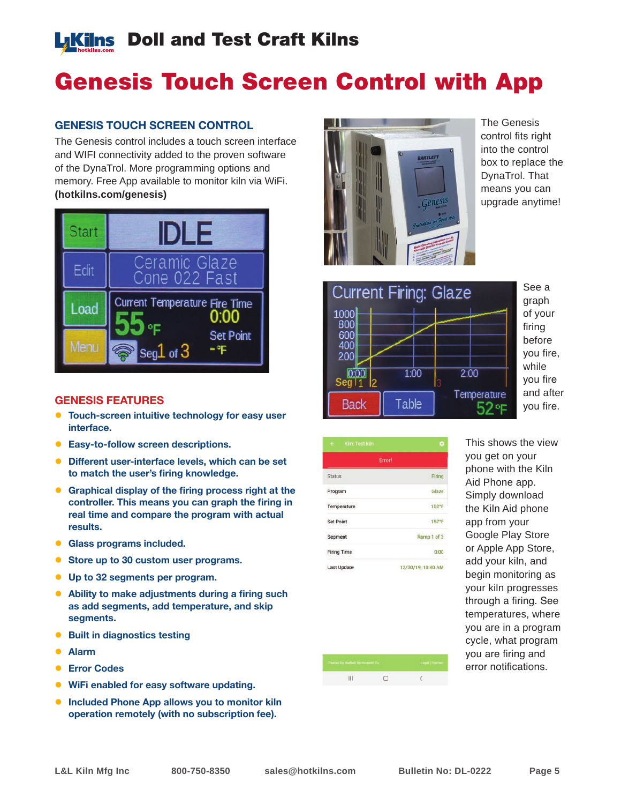### **LKilns** Doll and Test Craft Kilns

### Genesis Touch Screen Control with App

#### **GENESIS TOUCH SCREEN CONTROL**

The Genesis control includes a touch screen interface and WIFI connectivity added to the proven software of the DynaTrol. More programming options and memory. Free App available to monitor kiln via WiFi. **(hotkilns.com/genesis)**



#### **GENESIS FEATURES**

- **Touch-screen intuitive technology for easy user interface.**
- **Easy-to-follow screen descriptions.**
- **Different user-interface levels, which can be set to match the user's firing knowledge.**
- **Graphical display of the firing process right at the controller. This means you can graph the firing in real time and compare the program with actual results.**
- **Glass programs included.**
- Store up to 30 custom user programs.
- z **Up to 32 segments per program.**
- **Ability to make adjustments during a firing such as add segments, add temperature, and skip segments.**
- **Built in diagnostics testing**
- z **Alarm**
- **Error Codes**
- **WiFi enabled for easy software updating.**
- **Included Phone App allows you to monitor kiln operation remotely (with no subscription fee).**



The Genesis control fits right into the control box to replace the DynaTrol. That means you can upgrade anytime!



See a graph of your firing before you fire, while you fire and after you fire.

| $\leftarrow$<br>Kiln: Test kiln | o                  |
|---------------------------------|--------------------|
|                                 | Error!             |
| <b>Status</b>                   | Firing             |
| Program                         | Glaze              |
| Temperature                     | 152°F              |
| <b>Set Point</b>                | 157°F              |
| Segment                         | Ramp 1 of 3        |
| <b>Firing Time</b>              | 0:00               |
| <b>Last Update</b>              | 12/30/19, 10:40 AM |

This shows the view you get on your phone with the Kiln Aid Phone app. Simply download the Kiln Aid phone app from your Google Play Store or Apple App Store, add your kiln, and begin monitoring as your kiln progresses through a firing. See temperatures, where you are in a program cycle, what program you are firing and error notifications.

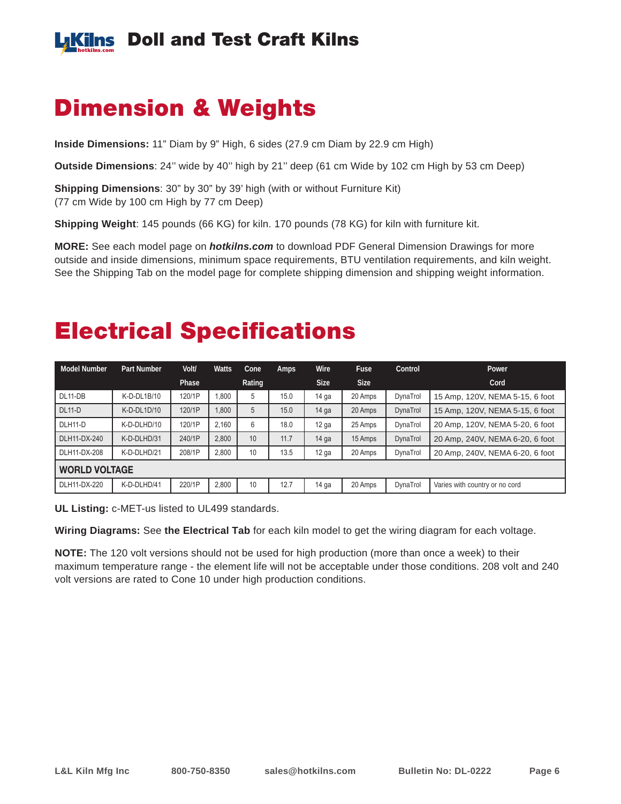

### Dimension & Weights

**Inside Dimensions:** 11" Diam by 9" High, 6 sides (27.9 cm Diam by 22.9 cm High)

**Outside Dimensions**: 24'' wide by 40'' high by 21'' deep (61 cm Wide by 102 cm High by 53 cm Deep)

**Shipping Dimensions**: 30" by 30" by 39' high (with or without Furniture Kit) (77 cm Wide by 100 cm High by 77 cm Deep)

**Shipping Weight**: 145 pounds (66 KG) for kiln. 170 pounds (78 KG) for kiln with furniture kit.

**MORE:** See each model page on *hotkilns.com* to download PDF General Dimension Drawings for more outside and inside dimensions, minimum space requirements, BTU ventilation requirements, and kiln weight. See the Shipping Tab on the model page for complete shipping dimension and shipping weight information.

### Electrical Specifications

| Model Number  | <b>Part Number</b> | Volt/  | <b>Watts</b> | Cone   | Amps | Wire             | <b>Fuse</b> | Control  | Power                           |  |
|---------------|--------------------|--------|--------------|--------|------|------------------|-------------|----------|---------------------------------|--|
|               |                    | Phase  |              | Rating |      | <b>Size</b>      | <b>Size</b> |          | Cord                            |  |
| $DL11-DB$     | K-D-DL1B/10        | 120/1P | 1.800        | 5      | 15.0 | $14$ ga          | 20 Amps     | DynaTrol | 15 Amp, 120V, NEMA 5-15, 6 foot |  |
| $DL11-D$      | $K-D-DL1D/10$      | 120/1P | 1.800        | 5      | 15.0 | $14$ ga          | 20 Amps     | DynaTrol | 15 Amp, 120V, NEMA 5-15, 6 foot |  |
| DLH11-D       | K-D-DLHD/10        | 120/1P | 2.160        | 6      | 18.0 | $12$ ga          | 25 Amps     | DynaTrol | 20 Amp, 120V, NEMA 5-20, 6 foot |  |
| DLH11-DX-240  | K-D-DLHD/31        | 240/1P | 2.800        | 10     | 11.7 | $14$ ga          | 15 Amps     | DynaTrol | 20 Amp, 240V, NEMA 6-20, 6 foot |  |
| DLH11-DX-208  | K-D-DLHD/21        | 208/1P | 2,800        | 10     | 13.5 | 12 <sub>ga</sub> | 20 Amps     | DynaTrol | 20 Amp, 240V, NEMA 6-20, 6 foot |  |
| WORLD VOLTAGE |                    |        |              |        |      |                  |             |          |                                 |  |
| DLH11-DX-220  | K-D-DLHD/41        | 220/1P | 2,800        | 10     | 12.7 | $14$ ga          | 20 Amps     | DynaTrol | Varies with country or no cord  |  |

**UL Listing:** c-MET-us listed to UL499 standards.

**Wiring Diagrams:** See **the Electrical Tab** for each kiln model to get the wiring diagram for each voltage.

**NOTE:** The 120 volt versions should not be used for high production (more than once a week) to their maximum temperature range - the element life will not be acceptable under those conditions. 208 volt and 240 volt versions are rated to Cone 10 under high production conditions.